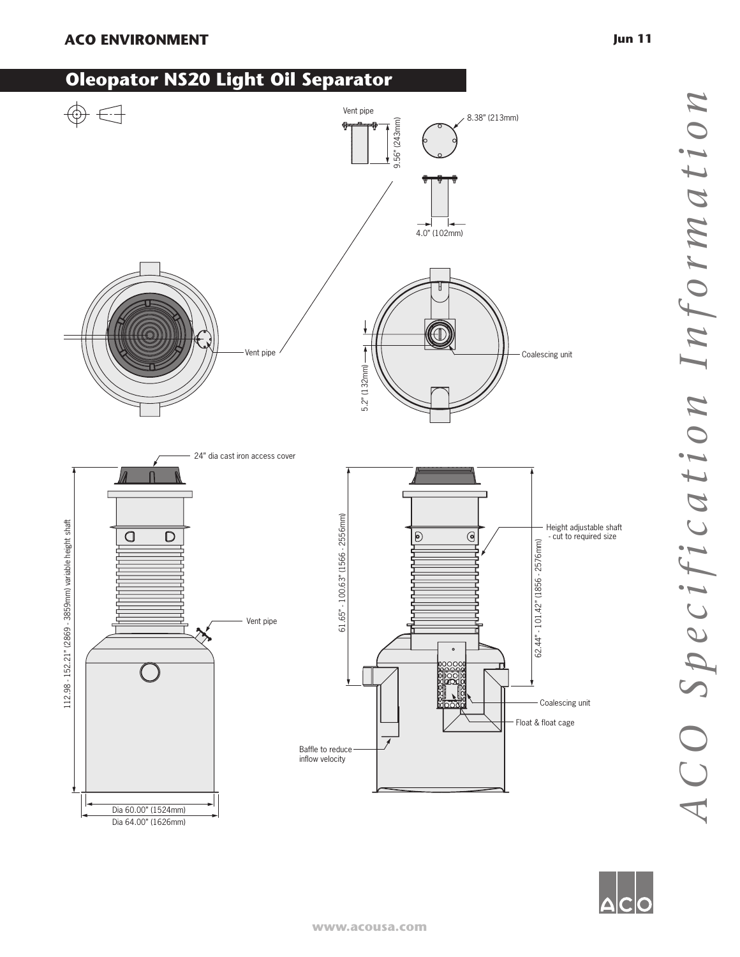## **ACO ENVIRONMENT Jun 11**

Dia 64.00" (1626mm)

## **Oleopator NS20 Light Oil Separator**



ACO Specification Information *ACO Specification Information*